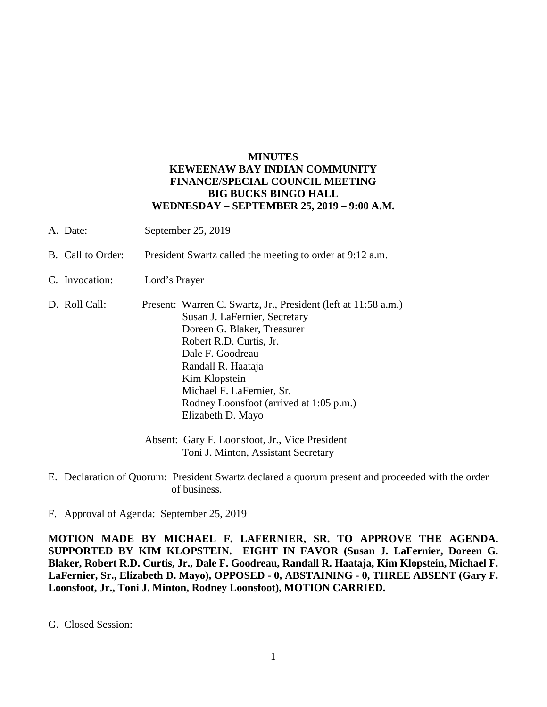## **MINUTES KEWEENAW BAY INDIAN COMMUNITY FINANCE/SPECIAL COUNCIL MEETING BIG BUCKS BINGO HALL WEDNESDAY – SEPTEMBER 25, 2019 – 9:00 A.M.**

- A. Date: September 25, 2019
- B. Call to Order: President Swartz called the meeting to order at 9:12 a.m.
- C. Invocation: Lord's Prayer
- D. Roll Call: Present: Warren C. Swartz, Jr., President (left at 11:58 a.m.) Susan J. LaFernier, Secretary Doreen G. Blaker, Treasurer Robert R.D. Curtis, Jr. Dale F. Goodreau Randall R. Haataja Kim Klopstein Michael F. LaFernier, Sr. Rodney Loonsfoot (arrived at 1:05 p.m.) Elizabeth D. Mayo
	- Absent: Gary F. Loonsfoot, Jr., Vice President Toni J. Minton, Assistant Secretary
- E. Declaration of Quorum: President Swartz declared a quorum present and proceeded with the order of business.
- F. Approval of Agenda: September 25, 2019

**MOTION MADE BY MICHAEL F. LAFERNIER, SR. TO APPROVE THE AGENDA. SUPPORTED BY KIM KLOPSTEIN. EIGHT IN FAVOR (Susan J. LaFernier, Doreen G. Blaker, Robert R.D. Curtis, Jr., Dale F. Goodreau, Randall R. Haataja, Kim Klopstein, Michael F. LaFernier, Sr., Elizabeth D. Mayo), OPPOSED - 0, ABSTAINING - 0, THREE ABSENT (Gary F. Loonsfoot, Jr., Toni J. Minton, Rodney Loonsfoot), MOTION CARRIED.**

G. Closed Session: